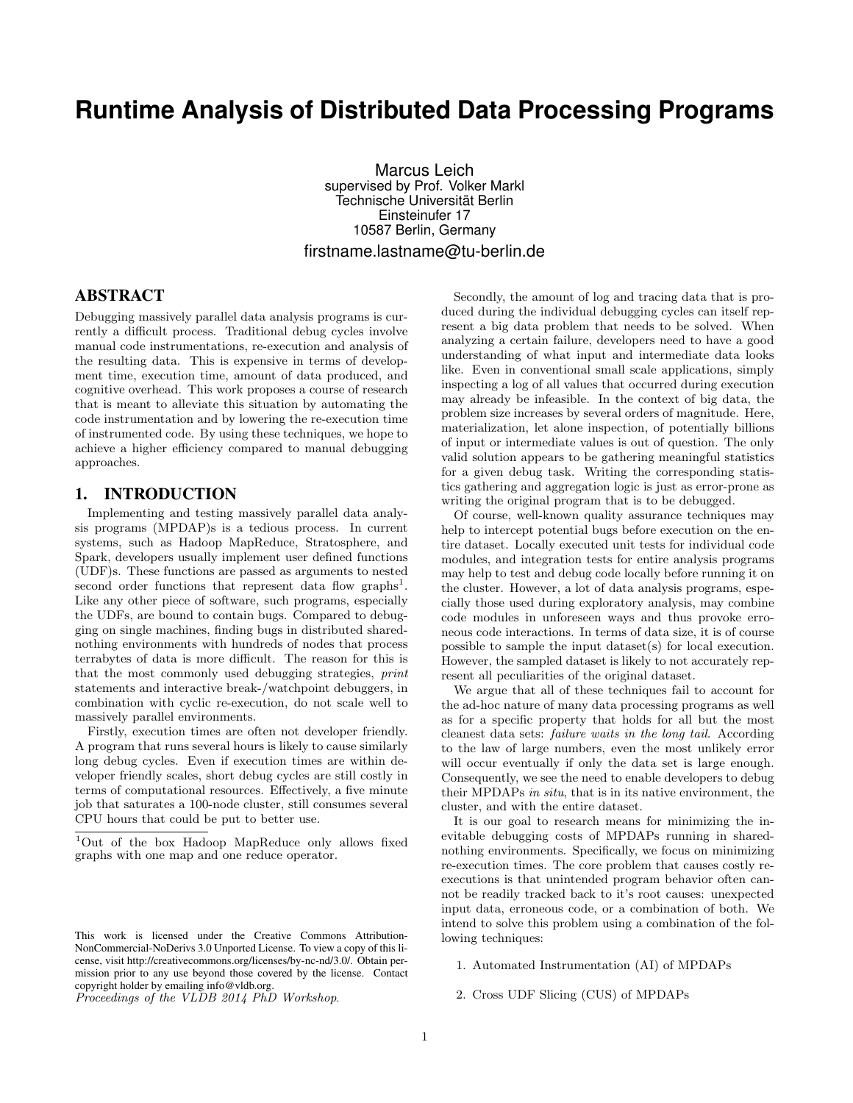# **Runtime Analysis of Distributed Data Processing Programs**

Marcus Leich supervised by Prof. Volker Markl Technische Universität Berlin Einsteinufer 17 10587 Berlin, Germany firstname.lastname@tu-berlin.de

# ABSTRACT

Debugging massively parallel data analysis programs is currently a difficult process. Traditional debug cycles involve manual code instrumentations, re-execution and analysis of the resulting data. This is expensive in terms of development time, execution time, amount of data produced, and cognitive overhead. This work proposes a course of research that is meant to alleviate this situation by automating the code instrumentation and by lowering the re-execution time of instrumented code. By using these techniques, we hope to achieve a higher efficiency compared to manual debugging approaches.

#### 1. INTRODUCTION

Implementing and testing massively parallel data analysis programs (MPDAP)s is a tedious process. In current systems, such as Hadoop MapReduce, Stratosphere, and Spark, developers usually implement user defined functions (UDF)s. These functions are passed as arguments to nested second order functions that represent data flow graphs<sup>1</sup>. Like any other piece of software, such programs, especially the UDFs, are bound to contain bugs. Compared to debugging on single machines, finding bugs in distributed sharednothing environments with hundreds of nodes that process terrabytes of data is more difficult. The reason for this is that the most commonly used debugging strategies, print statements and interactive break-/watchpoint debuggers, in combination with cyclic re-execution, do not scale well to massively parallel environments.

Firstly, execution times are often not developer friendly. A program that runs several hours is likely to cause similarly long debug cycles. Even if execution times are within developer friendly scales, short debug cycles are still costly in terms of computational resources. Effectively, a five minute job that saturates a 100-node cluster, still consumes several CPU hours that could be put to better use.

Proceedings of the VLDB 2014 PhD Workshop.

Secondly, the amount of log and tracing data that is produced during the individual debugging cycles can itself represent a big data problem that needs to be solved. When analyzing a certain failure, developers need to have a good understanding of what input and intermediate data looks like. Even in conventional small scale applications, simply inspecting a log of all values that occurred during execution may already be infeasible. In the context of big data, the problem size increases by several orders of magnitude. Here, materialization, let alone inspection, of potentially billions of input or intermediate values is out of question. The only valid solution appears to be gathering meaningful statistics for a given debug task. Writing the corresponding statistics gathering and aggregation logic is just as error-prone as writing the original program that is to be debugged.

Of course, well-known quality assurance techniques may help to intercept potential bugs before execution on the entire dataset. Locally executed unit tests for individual code modules, and integration tests for entire analysis programs may help to test and debug code locally before running it on the cluster. However, a lot of data analysis programs, especially those used during exploratory analysis, may combine code modules in unforeseen ways and thus provoke erroneous code interactions. In terms of data size, it is of course possible to sample the input dataset(s) for local execution. However, the sampled dataset is likely to not accurately represent all peculiarities of the original dataset.

We argue that all of these techniques fail to account for the ad-hoc nature of many data processing programs as well as for a specific property that holds for all but the most cleanest data sets: failure waits in the long tail. According to the law of large numbers, even the most unlikely error will occur eventually if only the data set is large enough. Consequently, we see the need to enable developers to debug their MPDAPs in situ, that is in its native environment, the cluster, and with the entire dataset.

It is our goal to research means for minimizing the inevitable debugging costs of MPDAPs running in sharednothing environments. Specifically, we focus on minimizing re-execution times. The core problem that causes costly reexecutions is that unintended program behavior often cannot be readily tracked back to it's root causes: unexpected input data, erroneous code, or a combination of both. We intend to solve this problem using a combination of the following techniques:

1. Automated Instrumentation (AI) of MPDAPs

2. Cross UDF Slicing (CUS) of MPDAPs

<sup>1</sup>Out of the box Hadoop MapReduce only allows fixed graphs with one map and one reduce operator.

This work is licensed under the Creative Commons Attribution-NonCommercial-NoDerivs 3.0 Unported License. To view a copy of this license, visit http://creativecommons.org/licenses/by-nc-nd/3.0/. Obtain permission prior to any use beyond those covered by the license. Contact copyright holder by emailing info@vldb.org.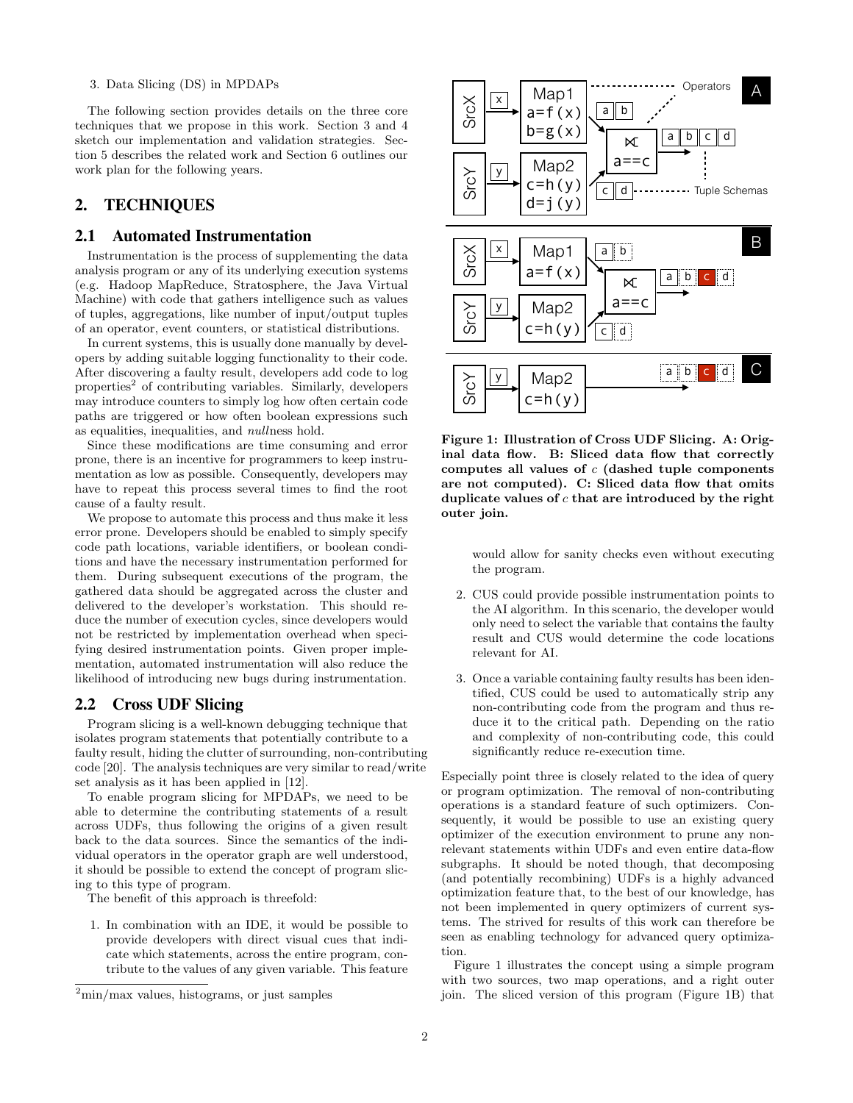#### 3. Data Slicing (DS) in MPDAPs

The following section provides details on the three core techniques that we propose in this work. Section 3 and 4 sketch our implementation and validation strategies. Section 5 describes the related work and Section 6 outlines our work plan for the following years.

# 2. TECHNIQUES

#### 2.1 Automated Instrumentation

Instrumentation is the process of supplementing the data analysis program or any of its underlying execution systems (e.g. Hadoop MapReduce, Stratosphere, the Java Virtual Machine) with code that gathers intelligence such as values of tuples, aggregations, like number of input/output tuples of an operator, event counters, or statistical distributions.

In current systems, this is usually done manually by developers by adding suitable logging functionality to their code. After discovering a faulty result, developers add code to log properties<sup>2</sup> of contributing variables. Similarly, developers may introduce counters to simply log how often certain code paths are triggered or how often boolean expressions such as equalities, inequalities, and nullness hold.

Since these modifications are time consuming and error prone, there is an incentive for programmers to keep instrumentation as low as possible. Consequently, developers may have to repeat this process several times to find the root cause of a faulty result.

We propose to automate this process and thus make it less error prone. Developers should be enabled to simply specify code path locations, variable identifiers, or boolean conditions and have the necessary instrumentation performed for them. During subsequent executions of the program, the gathered data should be aggregated across the cluster and delivered to the developer's workstation. This should reduce the number of execution cycles, since developers would not be restricted by implementation overhead when specifying desired instrumentation points. Given proper implementation, automated instrumentation will also reduce the likelihood of introducing new bugs during instrumentation.

### 2.2 Cross UDF Slicing

Program slicing is a well-known debugging technique that isolates program statements that potentially contribute to a faulty result, hiding the clutter of surrounding, non-contributing code [20]. The analysis techniques are very similar to read/write set analysis as it has been applied in [12].

To enable program slicing for MPDAPs, we need to be able to determine the contributing statements of a result across UDFs, thus following the origins of a given result back to the data sources. Since the semantics of the individual operators in the operator graph are well understood, it should be possible to extend the concept of program slicing to this type of program.

The benefit of this approach is threefold:

1. In combination with an IDE, it would be possible to provide developers with direct visual cues that indicate which statements, across the entire program, contribute to the values of any given variable. This feature



Figure 1: Illustration of Cross UDF Slicing. A: Original data flow. B: Sliced data flow that correctly computes all values of  $c$  (dashed tuple components are not computed). C: Sliced data flow that omits duplicate values of  $c$  that are introduced by the right outer join.

would allow for sanity checks even without executing the program.

- 2. CUS could provide possible instrumentation points to the AI algorithm. In this scenario, the developer would only need to select the variable that contains the faulty result and CUS would determine the code locations relevant for AI.
- 3. Once a variable containing faulty results has been identified, CUS could be used to automatically strip any non-contributing code from the program and thus reduce it to the critical path. Depending on the ratio and complexity of non-contributing code, this could significantly reduce re-execution time.

Especially point three is closely related to the idea of query or program optimization. The removal of non-contributing operations is a standard feature of such optimizers. Consequently, it would be possible to use an existing query optimizer of the execution environment to prune any nonrelevant statements within UDFs and even entire data-flow subgraphs. It should be noted though, that decomposing (and potentially recombining) UDFs is a highly advanced optimization feature that, to the best of our knowledge, has not been implemented in query optimizers of current systems. The strived for results of this work can therefore be seen as enabling technology for advanced query optimization.

Figure 1 illustrates the concept using a simple program with two sources, two map operations, and a right outer join. The sliced version of this program (Figure 1B) that

 $2min/max$  values, histograms, or just samples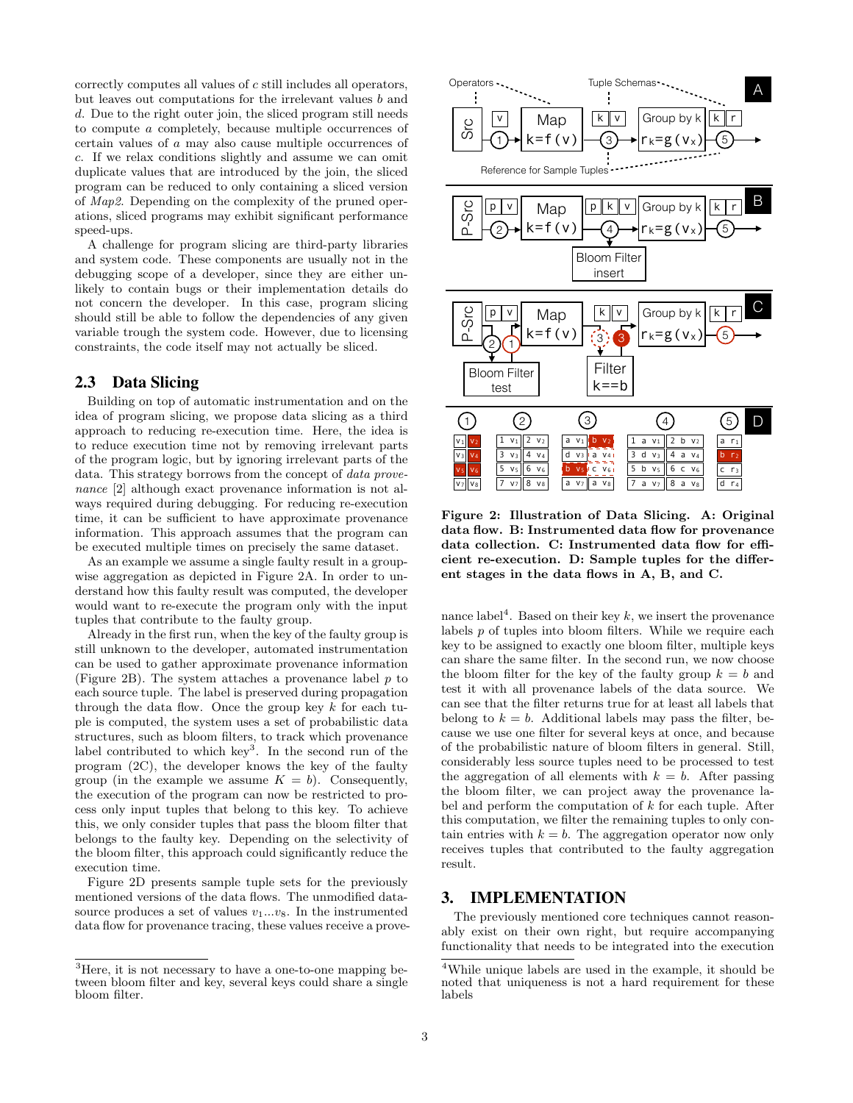correctly computes all values of c still includes all operators, but leaves out computations for the irrelevant values b and d. Due to the right outer join, the sliced program still needs to compute a completely, because multiple occurrences of certain values of a may also cause multiple occurrences of c. If we relax conditions slightly and assume we can omit duplicate values that are introduced by the join, the sliced program can be reduced to only containing a sliced version of Map2. Depending on the complexity of the pruned operations, sliced programs may exhibit significant performance speed-ups.

A challenge for program slicing are third-party libraries and system code. These components are usually not in the debugging scope of a developer, since they are either unlikely to contain bugs or their implementation details do not concern the developer. In this case, program slicing should still be able to follow the dependencies of any given variable trough the system code. However, due to licensing constraints, the code itself may not actually be sliced.

### 2.3 Data Slicing

Building on top of automatic instrumentation and on the idea of program slicing, we propose data slicing as a third approach to reducing re-execution time. Here, the idea is to reduce execution time not by removing irrelevant parts of the program logic, but by ignoring irrelevant parts of the data. This strategy borrows from the concept of data provenance [2] although exact provenance information is not always required during debugging. For reducing re-execution time, it can be sufficient to have approximate provenance information. This approach assumes that the program can be executed multiple times on precisely the same dataset.

As an example we assume a single faulty result in a groupwise aggregation as depicted in Figure 2A. In order to understand how this faulty result was computed, the developer would want to re-execute the program only with the input tuples that contribute to the faulty group.

Already in the first run, when the key of the faulty group is still unknown to the developer, automated instrumentation can be used to gather approximate provenance information (Figure 2B). The system attaches a provenance label  $p$  to each source tuple. The label is preserved during propagation through the data flow. Once the group key  $k$  for each tuple is computed, the system uses a set of probabilistic data structures, such as bloom filters, to track which provenance label contributed to which key<sup>3</sup>. In the second run of the program (2C), the developer knows the key of the faulty group (in the example we assume  $K = b$ ). Consequently, the execution of the program can now be restricted to process only input tuples that belong to this key. To achieve this, we only consider tuples that pass the bloom filter that belongs to the faulty key. Depending on the selectivity of the bloom filter, this approach could significantly reduce the execution time.

Figure 2D presents sample tuple sets for the previously mentioned versions of the data flows. The unmodified datasource produces a set of values  $v_1...v_8$ . In the instrumented data flow for provenance tracing, these values receive a prove-



Figure 2: Illustration of Data Slicing. A: Original data flow. B: Instrumented data flow for provenance data collection. C: Instrumented data flow for efficient re-execution. D: Sample tuples for the different stages in the data flows in A, B, and C.

nance label<sup>4</sup>. Based on their key k, we insert the provenance labels p of tuples into bloom filters. While we require each key to be assigned to exactly one bloom filter, multiple keys can share the same filter. In the second run, we now choose the bloom filter for the key of the faulty group  $k = b$  and test it with all provenance labels of the data source. We can see that the filter returns true for at least all labels that belong to  $k = b$ . Additional labels may pass the filter, because we use one filter for several keys at once, and because of the probabilistic nature of bloom filters in general. Still, considerably less source tuples need to be processed to test the aggregation of all elements with  $k = b$ . After passing the bloom filter, we can project away the provenance label and perform the computation of  $k$  for each tuple. After this computation, we filter the remaining tuples to only contain entries with  $k = b$ . The aggregation operator now only receives tuples that contributed to the faulty aggregation result.

### 3. IMPLEMENTATION

The previously mentioned core techniques cannot reasonably exist on their own right, but require accompanying functionality that needs to be integrated into the execution

<sup>3</sup>Here, it is not necessary to have a one-to-one mapping between bloom filter and key, several keys could share a single bloom filter.

<sup>4</sup>While unique labels are used in the example, it should be noted that uniqueness is not a hard requirement for these labels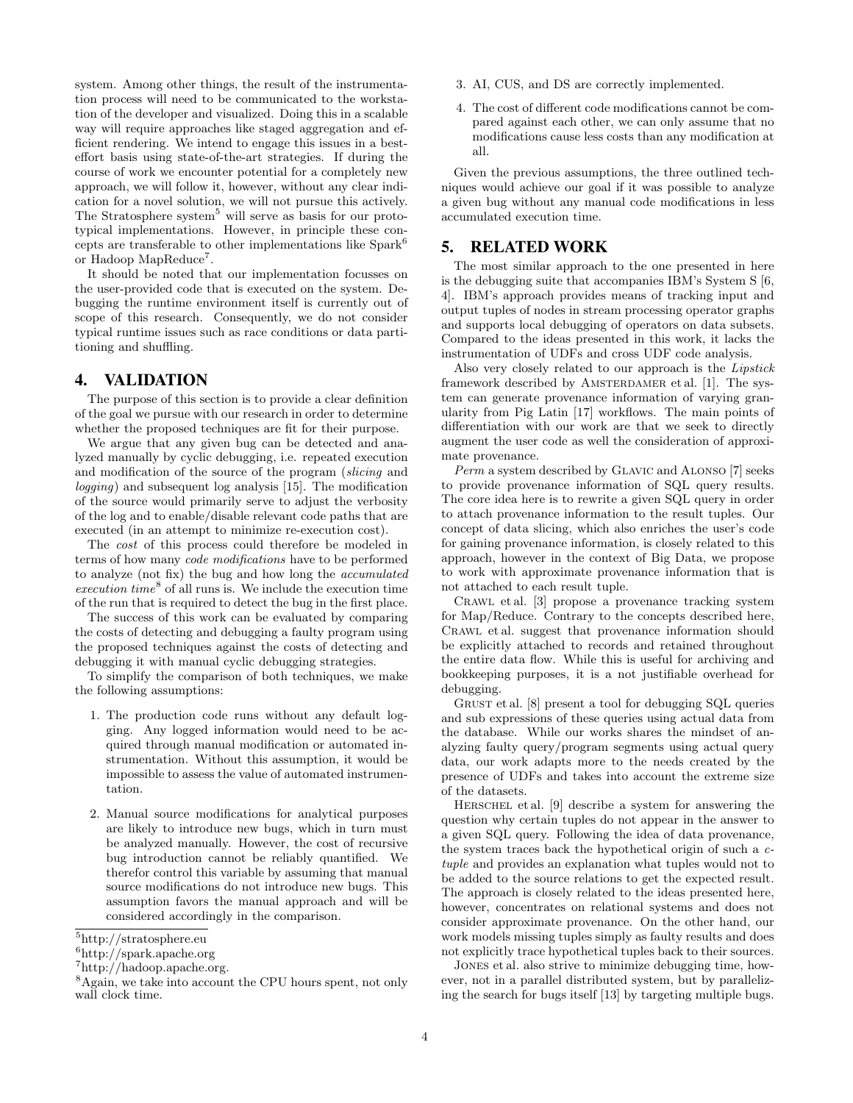system. Among other things, the result of the instrumentation process will need to be communicated to the workstation of the developer and visualized. Doing this in a scalable way will require approaches like staged aggregation and efficient rendering. We intend to engage this issues in a besteffort basis using state-of-the-art strategies. If during the course of work we encounter potential for a completely new approach, we will follow it, however, without any clear indication for a novel solution, we will not pursue this actively. The Stratosphere system<sup>5</sup> will serve as basis for our prototypical implementations. However, in principle these concepts are transferable to other implementations like Spark<sup>6</sup> or Hadoop MapReduce<sup>7</sup>.

It should be noted that our implementation focusses on the user-provided code that is executed on the system. Debugging the runtime environment itself is currently out of scope of this research. Consequently, we do not consider typical runtime issues such as race conditions or data partitioning and shuffling.

#### 4. VALIDATION

The purpose of this section is to provide a clear definition of the goal we pursue with our research in order to determine whether the proposed techniques are fit for their purpose.

We argue that any given bug can be detected and analyzed manually by cyclic debugging, i.e. repeated execution and modification of the source of the program (slicing and logging) and subsequent log analysis [15]. The modification of the source would primarily serve to adjust the verbosity of the log and to enable/disable relevant code paths that are executed (in an attempt to minimize re-execution cost).

The cost of this process could therefore be modeled in terms of how many code modifications have to be performed to analyze (not fix) the bug and how long the accumulated  $execution time<sup>8</sup>$  of all runs is. We include the execution time of the run that is required to detect the bug in the first place.

The success of this work can be evaluated by comparing the costs of detecting and debugging a faulty program using the proposed techniques against the costs of detecting and debugging it with manual cyclic debugging strategies.

To simplify the comparison of both techniques, we make the following assumptions:

- 1. The production code runs without any default logging. Any logged information would need to be acquired through manual modification or automated instrumentation. Without this assumption, it would be impossible to assess the value of automated instrumentation.
- 2. Manual source modifications for analytical purposes are likely to introduce new bugs, which in turn must be analyzed manually. However, the cost of recursive bug introduction cannot be reliably quantified. We therefor control this variable by assuming that manual source modifications do not introduce new bugs. This assumption favors the manual approach and will be considered accordingly in the comparison.
- 3. AI, CUS, and DS are correctly implemented.
- 4. The cost of different code modifications cannot be compared against each other, we can only assume that no modifications cause less costs than any modification at all.

Given the previous assumptions, the three outlined techniques would achieve our goal if it was possible to analyze a given bug without any manual code modifications in less accumulated execution time.

# 5. RELATED WORK

The most similar approach to the one presented in here is the debugging suite that accompanies IBM's System S [6, 4]. IBM's approach provides means of tracking input and output tuples of nodes in stream processing operator graphs and supports local debugging of operators on data subsets. Compared to the ideas presented in this work, it lacks the instrumentation of UDFs and cross UDF code analysis.

Also very closely related to our approach is the Lipstick framework described by AMSTERDAMER et al. [1]. The system can generate provenance information of varying granularity from Pig Latin [17] workflows. The main points of differentiation with our work are that we seek to directly augment the user code as well the consideration of approximate provenance.

Perm a system described by Glavic and Alonso [7] seeks to provide provenance information of SQL query results. The core idea here is to rewrite a given SQL query in order to attach provenance information to the result tuples. Our concept of data slicing, which also enriches the user's code for gaining provenance information, is closely related to this approach, however in the context of Big Data, we propose to work with approximate provenance information that is not attached to each result tuple.

Crawl et al. [3] propose a provenance tracking system for Map/Reduce. Contrary to the concepts described here, Crawl et al. suggest that provenance information should be explicitly attached to records and retained throughout the entire data flow. While this is useful for archiving and bookkeeping purposes, it is a not justifiable overhead for debugging.

GRUST et al. [8] present a tool for debugging SQL queries and sub expressions of these queries using actual data from the database. While our works shares the mindset of analyzing faulty query/program segments using actual query data, our work adapts more to the needs created by the presence of UDFs and takes into account the extreme size of the datasets.

Herschel et al. [9] describe a system for answering the question why certain tuples do not appear in the answer to a given SQL query. Following the idea of data provenance, the system traces back the hypothetical origin of such a ctuple and provides an explanation what tuples would not to be added to the source relations to get the expected result. The approach is closely related to the ideas presented here, however, concentrates on relational systems and does not consider approximate provenance. On the other hand, our work models missing tuples simply as faulty results and does not explicitly trace hypothetical tuples back to their sources.

Jones et al. also strive to minimize debugging time, however, not in a parallel distributed system, but by parallelizing the search for bugs itself [13] by targeting multiple bugs.

<sup>5</sup>http://stratosphere.eu

 $6$ http://spark.apache.org

 $7$ http://hadoop.apache.org.

<sup>&</sup>lt;sup>8</sup>Again, we take into account the CPU hours spent, not only wall clock time.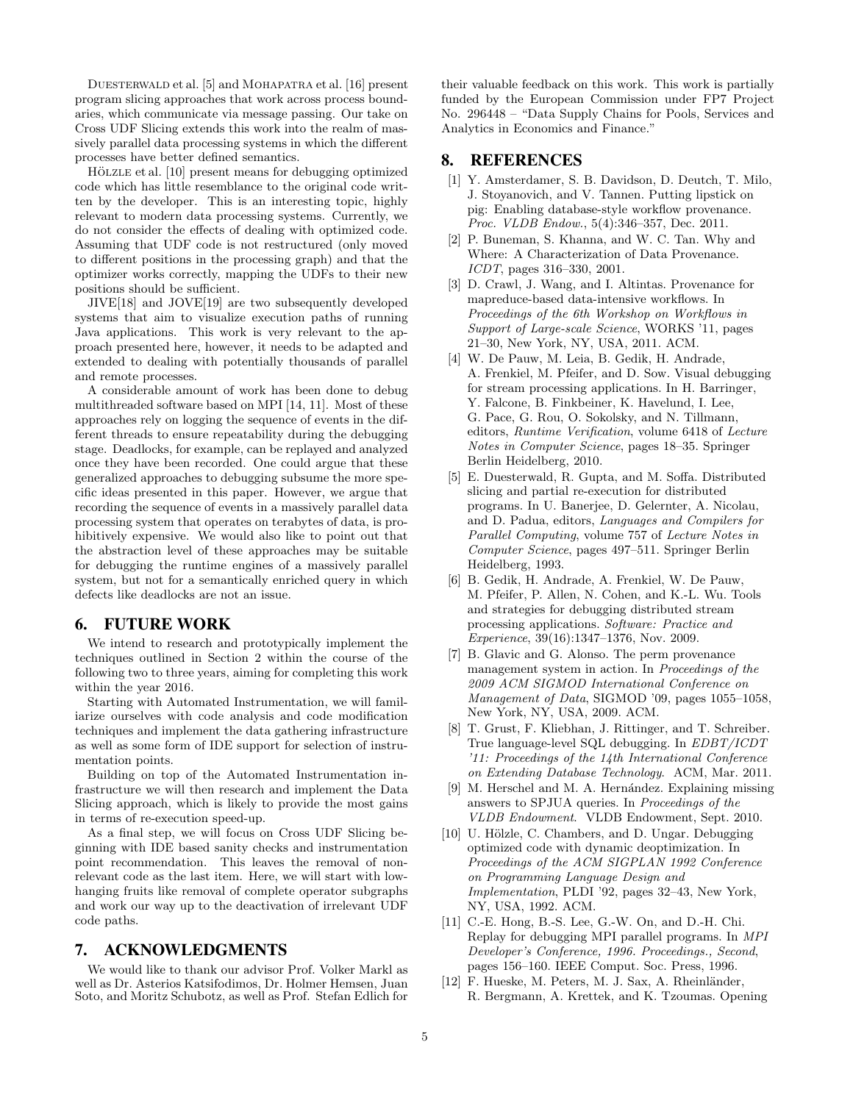DUESTERWALD et al. [5] and MOHAPATRA et al. [16] present program slicing approaches that work across process boundaries, which communicate via message passing. Our take on Cross UDF Slicing extends this work into the realm of massively parallel data processing systems in which the different processes have better defined semantics.

HÖLZLE et al. [10] present means for debugging optimized code which has little resemblance to the original code written by the developer. This is an interesting topic, highly relevant to modern data processing systems. Currently, we do not consider the effects of dealing with optimized code. Assuming that UDF code is not restructured (only moved to different positions in the processing graph) and that the optimizer works correctly, mapping the UDFs to their new positions should be sufficient.

JIVE[18] and JOVE[19] are two subsequently developed systems that aim to visualize execution paths of running Java applications. This work is very relevant to the approach presented here, however, it needs to be adapted and extended to dealing with potentially thousands of parallel and remote processes.

A considerable amount of work has been done to debug multithreaded software based on MPI [14, 11]. Most of these approaches rely on logging the sequence of events in the different threads to ensure repeatability during the debugging stage. Deadlocks, for example, can be replayed and analyzed once they have been recorded. One could argue that these generalized approaches to debugging subsume the more specific ideas presented in this paper. However, we argue that recording the sequence of events in a massively parallel data processing system that operates on terabytes of data, is prohibitively expensive. We would also like to point out that the abstraction level of these approaches may be suitable for debugging the runtime engines of a massively parallel system, but not for a semantically enriched query in which defects like deadlocks are not an issue.

#### 6. FUTURE WORK

We intend to research and prototypically implement the techniques outlined in Section 2 within the course of the following two to three years, aiming for completing this work within the year 2016.

Starting with Automated Instrumentation, we will familiarize ourselves with code analysis and code modification techniques and implement the data gathering infrastructure as well as some form of IDE support for selection of instrumentation points.

Building on top of the Automated Instrumentation infrastructure we will then research and implement the Data Slicing approach, which is likely to provide the most gains in terms of re-execution speed-up.

As a final step, we will focus on Cross UDF Slicing beginning with IDE based sanity checks and instrumentation point recommendation. This leaves the removal of nonrelevant code as the last item. Here, we will start with lowhanging fruits like removal of complete operator subgraphs and work our way up to the deactivation of irrelevant UDF code paths.

# 7. ACKNOWLEDGMENTS

We would like to thank our advisor Prof. Volker Markl as well as Dr. Asterios Katsifodimos, Dr. Holmer Hemsen, Juan Soto, and Moritz Schubotz, as well as Prof. Stefan Edlich for their valuable feedback on this work. This work is partially funded by the European Commission under FP7 Project No. 296448 – "Data Supply Chains for Pools, Services and Analytics in Economics and Finance."

### 8. REFERENCES

- [1] Y. Amsterdamer, S. B. Davidson, D. Deutch, T. Milo, J. Stoyanovich, and V. Tannen. Putting lipstick on pig: Enabling database-style workflow provenance. Proc. VLDB Endow., 5(4):346–357, Dec. 2011.
- [2] P. Buneman, S. Khanna, and W. C. Tan. Why and Where: A Characterization of Data Provenance. ICDT, pages 316–330, 2001.
- [3] D. Crawl, J. Wang, and I. Altintas. Provenance for mapreduce-based data-intensive workflows. In Proceedings of the 6th Workshop on Workflows in Support of Large-scale Science, WORKS '11, pages 21–30, New York, NY, USA, 2011. ACM.
- [4] W. De Pauw, M. Leia, B. Gedik, H. Andrade, A. Frenkiel, M. Pfeifer, and D. Sow. Visual debugging for stream processing applications. In H. Barringer, Y. Falcone, B. Finkbeiner, K. Havelund, I. Lee, G. Pace, G. Rou, O. Sokolsky, and N. Tillmann, editors, Runtime Verification, volume 6418 of Lecture Notes in Computer Science, pages 18–35. Springer Berlin Heidelberg, 2010.
- [5] E. Duesterwald, R. Gupta, and M. Soffa. Distributed slicing and partial re-execution for distributed programs. In U. Banerjee, D. Gelernter, A. Nicolau, and D. Padua, editors, Languages and Compilers for Parallel Computing, volume 757 of Lecture Notes in Computer Science, pages 497–511. Springer Berlin Heidelberg, 1993.
- [6] B. Gedik, H. Andrade, A. Frenkiel, W. De Pauw, M. Pfeifer, P. Allen, N. Cohen, and K.-L. Wu. Tools and strategies for debugging distributed stream processing applications. Software: Practice and Experience, 39(16):1347–1376, Nov. 2009.
- [7] B. Glavic and G. Alonso. The perm provenance management system in action. In Proceedings of the 2009 ACM SIGMOD International Conference on Management of Data, SIGMOD '09, pages 1055–1058, New York, NY, USA, 2009. ACM.
- [8] T. Grust, F. Kliebhan, J. Rittinger, and T. Schreiber. True language-level SQL debugging. In EDBT/ICDT '11: Proceedings of the 14th International Conference on Extending Database Technology. ACM, Mar. 2011.
- [9] M. Herschel and M. A. Hernández. Explaining missing answers to SPJUA queries. In Proceedings of the VLDB Endowment. VLDB Endowment, Sept. 2010.
- [10] U. Hölzle, C. Chambers, and D. Ungar. Debugging optimized code with dynamic deoptimization. In Proceedings of the ACM SIGPLAN 1992 Conference on Programming Language Design and Implementation, PLDI '92, pages 32–43, New York, NY, USA, 1992. ACM.
- [11] C.-E. Hong, B.-S. Lee, G.-W. On, and D.-H. Chi. Replay for debugging MPI parallel programs. In MPI Developer's Conference, 1996. Proceedings., Second, pages 156–160. IEEE Comput. Soc. Press, 1996.
- [12] F. Hueske, M. Peters, M. J. Sax, A. Rheinländer, R. Bergmann, A. Krettek, and K. Tzoumas. Opening